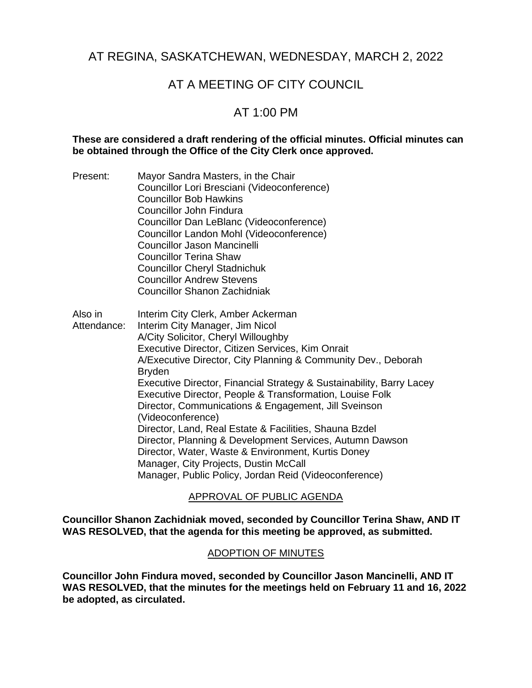# AT REGINA, SASKATCHEWAN, WEDNESDAY, MARCH 2, 2022

# AT A MEETING OF CITY COUNCIL

# AT 1:00 PM

# **These are considered a draft rendering of the official minutes. Official minutes can be obtained through the Office of the City Clerk once approved.**

Present: Mayor Sandra Masters, in the Chair

|                        | 1810, 01 Odinara maoloro, 111 (110 Orian<br>Councillor Lori Bresciani (Videoconference)<br><b>Councillor Bob Hawkins</b><br>Councillor John Findura<br>Councillor Dan LeBlanc (Videoconference)<br>Councillor Landon Mohl (Videoconference)<br><b>Councillor Jason Mancinelli</b><br><b>Councillor Terina Shaw</b><br><b>Councillor Cheryl Stadnichuk</b><br><b>Councillor Andrew Stevens</b><br><b>Councillor Shanon Zachidniak</b>                                                                                                                                                                                                                                                                                                              |
|------------------------|---------------------------------------------------------------------------------------------------------------------------------------------------------------------------------------------------------------------------------------------------------------------------------------------------------------------------------------------------------------------------------------------------------------------------------------------------------------------------------------------------------------------------------------------------------------------------------------------------------------------------------------------------------------------------------------------------------------------------------------------------|
| Also in<br>Attendance: | Interim City Clerk, Amber Ackerman<br>Interim City Manager, Jim Nicol<br>A/City Solicitor, Cheryl Willoughby<br>Executive Director, Citizen Services, Kim Onrait<br>A/Executive Director, City Planning & Community Dev., Deborah<br><b>Bryden</b><br>Executive Director, Financial Strategy & Sustainability, Barry Lacey<br>Executive Director, People & Transformation, Louise Folk<br>Director, Communications & Engagement, Jill Sveinson<br>(Videoconference)<br>Director, Land, Real Estate & Facilities, Shauna Bzdel<br>Director, Planning & Development Services, Autumn Dawson<br>Director, Water, Waste & Environment, Kurtis Doney<br>Manager, City Projects, Dustin McCall<br>Manager, Public Policy, Jordan Reid (Videoconference) |

# APPROVAL OF PUBLIC AGENDA

**Councillor Shanon Zachidniak moved, seconded by Councillor Terina Shaw, AND IT WAS RESOLVED, that the agenda for this meeting be approved, as submitted.**

### ADOPTION OF MINUTES

**Councillor John Findura moved, seconded by Councillor Jason Mancinelli, AND IT WAS RESOLVED, that the minutes for the meetings held on February 11 and 16, 2022 be adopted, as circulated.**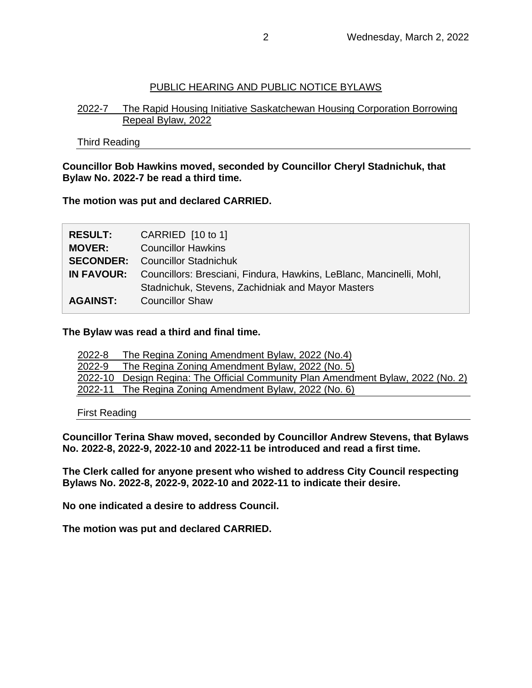# PUBLIC HEARING AND PUBLIC NOTICE BYLAWS

# 2022-7 The Rapid Housing Initiative Saskatchewan Housing Corporation Borrowing Repeal Bylaw, 2022

Third Reading

### **Councillor Bob Hawkins moved, seconded by Councillor Cheryl Stadnichuk, that Bylaw No. 2022-7 be read a third time.**

**The motion was put and declared CARRIED.**

| <b>RESULT:</b>  | CARRIED $[10 \text{ to } 1]$                                                           |
|-----------------|----------------------------------------------------------------------------------------|
| <b>MOVER:</b>   | <b>Councillor Hawkins</b>                                                              |
|                 | <b>SECONDER:</b> Councillor Stadnichuk                                                 |
|                 | <b>IN FAVOUR:</b> Councillors: Bresciani, Findura, Hawkins, LeBlanc, Mancinelli, Mohl, |
|                 | Stadnichuk, Stevens, Zachidniak and Mayor Masters                                      |
| <b>AGAINST:</b> | <b>Councillor Shaw</b>                                                                 |

### **The Bylaw was read a third and final time.**

| 2022-8 | The Regina Zoning Amendment Bylaw, 2022 (No.4)                                   |
|--------|----------------------------------------------------------------------------------|
| 2022-9 | The Regina Zoning Amendment Bylaw, 2022 (No. 5)                                  |
|        | 2022-10 Design Regina: The Official Community Plan Amendment Bylaw, 2022 (No. 2) |
|        | 2022-11 The Regina Zoning Amendment Bylaw, 2022 (No. 6)                          |

First Reading

**Councillor Terina Shaw moved, seconded by Councillor Andrew Stevens, that Bylaws No. 2022-8, 2022-9, 2022-10 and 2022-11 be introduced and read a first time.** 

**The Clerk called for anyone present who wished to address City Council respecting Bylaws No. 2022-8, 2022-9, 2022-10 and 2022-11 to indicate their desire.**

**No one indicated a desire to address Council.**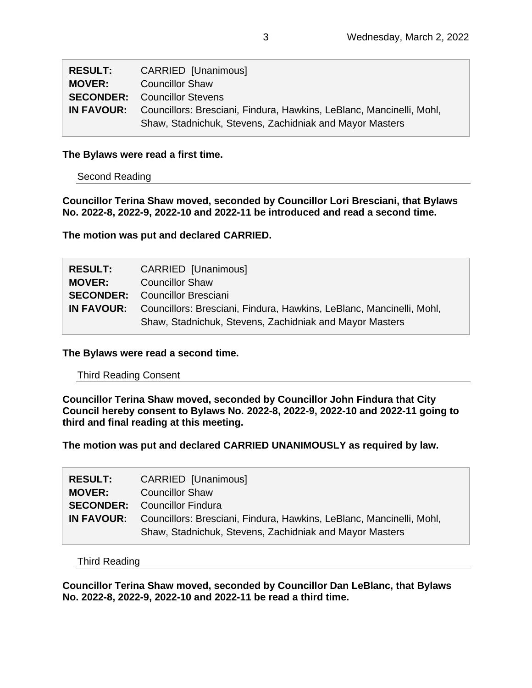| <b>RESULT:</b> | <b>CARRIED [Unanimous]</b>                                                             |
|----------------|----------------------------------------------------------------------------------------|
| <b>MOVER:</b>  | <b>Councillor Shaw</b>                                                                 |
|                | <b>SECONDER:</b> Councillor Stevens                                                    |
|                | <b>IN FAVOUR:</b> Councillors: Bresciani, Findura, Hawkins, LeBlanc, Mancinelli, Mohl, |
|                | Shaw, Stadnichuk, Stevens, Zachidniak and Mayor Masters                                |

### **The Bylaws were read a first time.**

Second Reading

**Councillor Terina Shaw moved, seconded by Councillor Lori Bresciani, that Bylaws No. 2022-8, 2022-9, 2022-10 and 2022-11 be introduced and read a second time.**

**The motion was put and declared CARRIED.**

| <b>RESULT:</b> | <b>CARRIED [Unanimous]</b>                                                             |
|----------------|----------------------------------------------------------------------------------------|
| <b>MOVER:</b>  | <b>Councillor Shaw</b>                                                                 |
|                | <b>SECONDER:</b> Councillor Bresciani                                                  |
|                | <b>IN FAVOUR:</b> Councillors: Bresciani, Findura, Hawkins, LeBlanc, Mancinelli, Mohl, |
|                | Shaw, Stadnichuk, Stevens, Zachidniak and Mayor Masters                                |

**The Bylaws were read a second time.**

### Third Reading Consent

**Councillor Terina Shaw moved, seconded by Councillor John Findura that City Council hereby consent to Bylaws No. 2022-8, 2022-9, 2022-10 and 2022-11 going to third and final reading at this meeting.**

**The motion was put and declared CARRIED UNANIMOUSLY as required by law.**

| <b>RESULT:</b> | <b>CARRIED [Unanimous]</b>                                                             |
|----------------|----------------------------------------------------------------------------------------|
| <b>MOVER:</b>  | <b>Councillor Shaw</b>                                                                 |
|                | <b>SECONDER:</b> Councillor Findura                                                    |
|                | <b>IN FAVOUR:</b> Councillors: Bresciani, Findura, Hawkins, LeBlanc, Mancinelli, Mohl, |
|                | Shaw, Stadnichuk, Stevens, Zachidniak and Mayor Masters                                |

Third Reading

**Councillor Terina Shaw moved, seconded by Councillor Dan LeBlanc, that Bylaws No. 2022-8, 2022-9, 2022-10 and 2022-11 be read a third time.**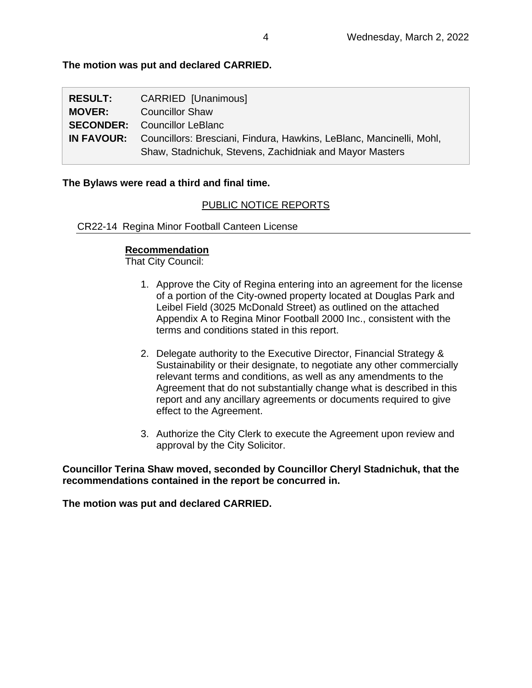# **The motion was put and declared CARRIED.**

| <b>RESULT:</b> | CARRIED [Unanimous]                                                                    |
|----------------|----------------------------------------------------------------------------------------|
| <b>MOVER:</b>  | <b>Councillor Shaw</b>                                                                 |
|                | <b>SECONDER:</b> Councillor LeBlanc                                                    |
|                | <b>IN FAVOUR:</b> Councillors: Bresciani, Findura, Hawkins, LeBlanc, Mancinelli, Mohl, |
|                | Shaw, Stadnichuk, Stevens, Zachidniak and Mayor Masters                                |

### **The Bylaws were read a third and final time.**

# PUBLIC NOTICE REPORTS

CR22-14 Regina Minor Football Canteen License

### **Recommendation**

That City Council:

- 1. Approve the City of Regina entering into an agreement for the license of a portion of the City-owned property located at Douglas Park and Leibel Field (3025 McDonald Street) as outlined on the attached Appendix A to Regina Minor Football 2000 Inc., consistent with the terms and conditions stated in this report.
- 2. Delegate authority to the Executive Director, Financial Strategy & Sustainability or their designate, to negotiate any other commercially relevant terms and conditions, as well as any amendments to the Agreement that do not substantially change what is described in this report and any ancillary agreements or documents required to give effect to the Agreement.
- 3. Authorize the City Clerk to execute the Agreement upon review and approval by the City Solicitor.

**Councillor Terina Shaw moved, seconded by Councillor Cheryl Stadnichuk, that the recommendations contained in the report be concurred in.**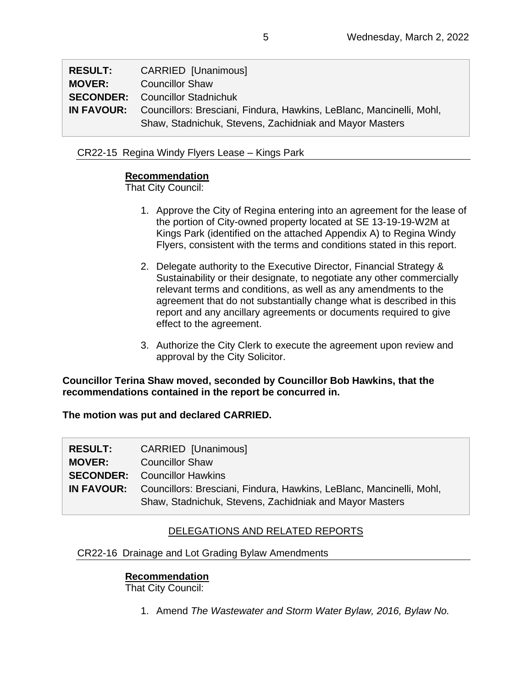| <b>RESULT:</b> | CARRIED [Unanimous]                                                                    |
|----------------|----------------------------------------------------------------------------------------|
| <b>MOVER:</b>  | <b>Councillor Shaw</b>                                                                 |
|                | <b>SECONDER:</b> Councillor Stadnichuk                                                 |
|                | <b>IN FAVOUR:</b> Councillors: Bresciani, Findura, Hawkins, LeBlanc, Mancinelli, Mohl, |
|                | Shaw, Stadnichuk, Stevens, Zachidniak and Mayor Masters                                |

# CR22-15 Regina Windy Flyers Lease – Kings Park

# **Recommendation**

That City Council:

- 1. Approve the City of Regina entering into an agreement for the lease of the portion of City-owned property located at SE 13-19-19-W2M at Kings Park (identified on the attached Appendix A) to Regina Windy Flyers, consistent with the terms and conditions stated in this report.
- 2. Delegate authority to the Executive Director, Financial Strategy & Sustainability or their designate, to negotiate any other commercially relevant terms and conditions, as well as any amendments to the agreement that do not substantially change what is described in this report and any ancillary agreements or documents required to give effect to the agreement.
- 3. Authorize the City Clerk to execute the agreement upon review and approval by the City Solicitor.

# **Councillor Terina Shaw moved, seconded by Councillor Bob Hawkins, that the recommendations contained in the report be concurred in.**

**The motion was put and declared CARRIED.**

| <b>RESULT:</b> | <b>CARRIED [Unanimous]</b>                                                             |
|----------------|----------------------------------------------------------------------------------------|
| <b>MOVER:</b>  | <b>Councillor Shaw</b>                                                                 |
|                | <b>SECONDER:</b> Councillor Hawkins                                                    |
|                | <b>IN FAVOUR:</b> Councillors: Bresciani, Findura, Hawkins, LeBlanc, Mancinelli, Mohl, |
|                | Shaw, Stadnichuk, Stevens, Zachidniak and Mayor Masters                                |

# DELEGATIONS AND RELATED REPORTS

CR22-16 Drainage and Lot Grading Bylaw Amendments

# **Recommendation**

That City Council:

1. Amend *The Wastewater and Storm Water Bylaw, 2016, Bylaw No.*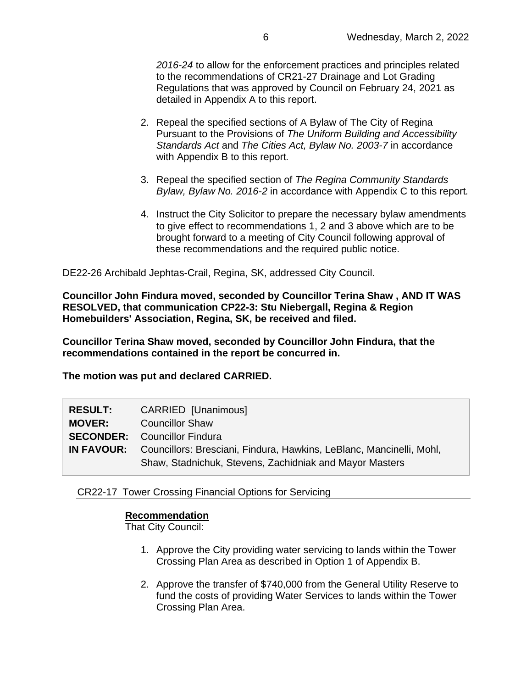*2016-24* to allow for the enforcement practices and principles related to the recommendations of CR21-27 Drainage and Lot Grading Regulations that was approved by Council on February 24, 2021 as detailed in Appendix A to this report.

- 2. Repeal the specified sections of A Bylaw of The City of Regina Pursuant to the Provisions of *The Uniform Building and Accessibility Standards Act* and *The Cities Act, Bylaw No. 2003-7* in accordance with Appendix B to this report*.*
- 3. Repeal the specified section of *The Regina Community Standards Bylaw, Bylaw No. 2016-2* in accordance with Appendix C to this report*.*
- 4. Instruct the City Solicitor to prepare the necessary bylaw amendments to give effect to recommendations 1, 2 and 3 above which are to be brought forward to a meeting of City Council following approval of these recommendations and the required public notice.

DE22-26 Archibald Jephtas-Crail, Regina, SK, addressed City Council.

**Councillor John Findura moved, seconded by Councillor Terina Shaw , AND IT WAS RESOLVED, that communication CP22-3: Stu Niebergall, Regina & Region Homebuilders' Association, Regina, SK, be received and filed.**

**Councillor Terina Shaw moved, seconded by Councillor John Findura, that the recommendations contained in the report be concurred in.**

**The motion was put and declared CARRIED.**

| <b>RESULT:</b> | CARRIED [Unanimous]                                                                    |
|----------------|----------------------------------------------------------------------------------------|
| <b>MOVER:</b>  | <b>Councillor Shaw</b>                                                                 |
|                | <b>SECONDER:</b> Councillor Findura                                                    |
|                | <b>IN FAVOUR:</b> Councillors: Bresciani, Findura, Hawkins, LeBlanc, Mancinelli, Mohl, |
|                | Shaw, Stadnichuk, Stevens, Zachidniak and Mayor Masters                                |

### CR22-17 Tower Crossing Financial Options for Servicing

### **Recommendation**

- 1. Approve the City providing water servicing to lands within the Tower Crossing Plan Area as described in Option 1 of Appendix B.
- 2. Approve the transfer of \$740,000 from the General Utility Reserve to fund the costs of providing Water Services to lands within the Tower Crossing Plan Area.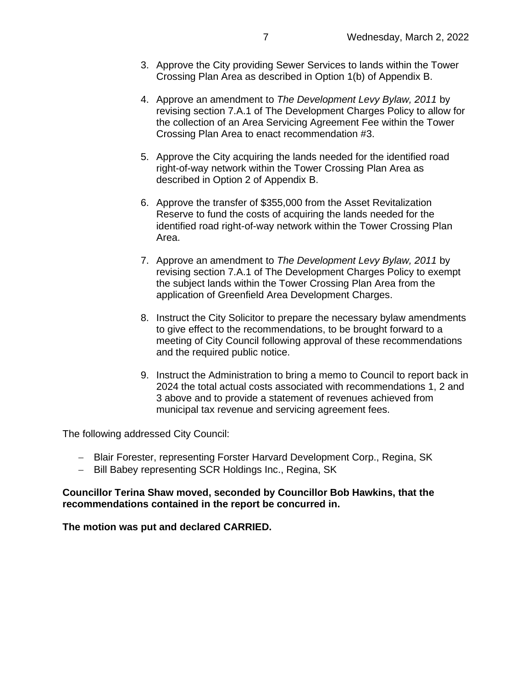- 3. Approve the City providing Sewer Services to lands within the Tower Crossing Plan Area as described in Option 1(b) of Appendix B.
- 4. Approve an amendment to *The Development Levy Bylaw, 2011* by revising section 7.A.1 of The Development Charges Policy to allow for the collection of an Area Servicing Agreement Fee within the Tower Crossing Plan Area to enact recommendation #3.
- 5. Approve the City acquiring the lands needed for the identified road right-of-way network within the Tower Crossing Plan Area as described in Option 2 of Appendix B.
- 6. Approve the transfer of \$355,000 from the Asset Revitalization Reserve to fund the costs of acquiring the lands needed for the identified road right-of-way network within the Tower Crossing Plan Area.
- 7. Approve an amendment to *The Development Levy Bylaw, 2011* by revising section 7.A.1 of The Development Charges Policy to exempt the subject lands within the Tower Crossing Plan Area from the application of Greenfield Area Development Charges.
- 8. Instruct the City Solicitor to prepare the necessary bylaw amendments to give effect to the recommendations, to be brought forward to a meeting of City Council following approval of these recommendations and the required public notice.
- 9. Instruct the Administration to bring a memo to Council to report back in 2024 the total actual costs associated with recommendations 1, 2 and 3 above and to provide a statement of revenues achieved from municipal tax revenue and servicing agreement fees.

The following addressed City Council:

- − Blair Forester, representing Forster Harvard Development Corp., Regina, SK
- − Bill Babey representing SCR Holdings Inc., Regina, SK

### **Councillor Terina Shaw moved, seconded by Councillor Bob Hawkins, that the recommendations contained in the report be concurred in.**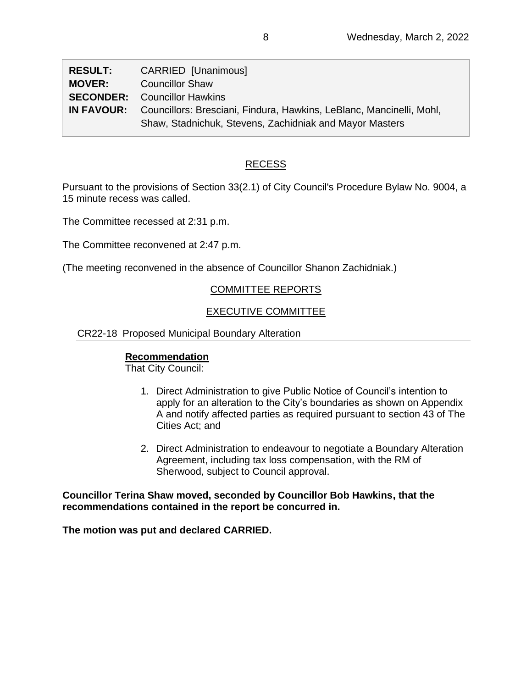| <b>RESULT:</b> | CARRIED [Unanimous]                                                                    |
|----------------|----------------------------------------------------------------------------------------|
| <b>MOVER:</b>  | <b>Councillor Shaw</b>                                                                 |
|                | <b>SECONDER:</b> Councillor Hawkins                                                    |
|                | <b>IN FAVOUR:</b> Councillors: Bresciani, Findura, Hawkins, LeBlanc, Mancinelli, Mohl, |
|                | Shaw, Stadnichuk, Stevens, Zachidniak and Mayor Masters                                |

# RECESS

Pursuant to the provisions of Section 33(2.1) of City Council's Procedure Bylaw No. 9004, a 15 minute recess was called.

The Committee recessed at 2:31 p.m.

The Committee reconvened at 2:47 p.m.

(The meeting reconvened in the absence of Councillor Shanon Zachidniak.)

# COMMITTEE REPORTS

# EXECUTIVE COMMITTEE

### CR22-18 Proposed Municipal Boundary Alteration

# **Recommendation**

That City Council:

- 1. Direct Administration to give Public Notice of Council's intention to apply for an alteration to the City's boundaries as shown on Appendix A and notify affected parties as required pursuant to section 43 of The Cities Act; and
- 2. Direct Administration to endeavour to negotiate a Boundary Alteration Agreement, including tax loss compensation, with the RM of Sherwood, subject to Council approval.

**Councillor Terina Shaw moved, seconded by Councillor Bob Hawkins, that the recommendations contained in the report be concurred in.**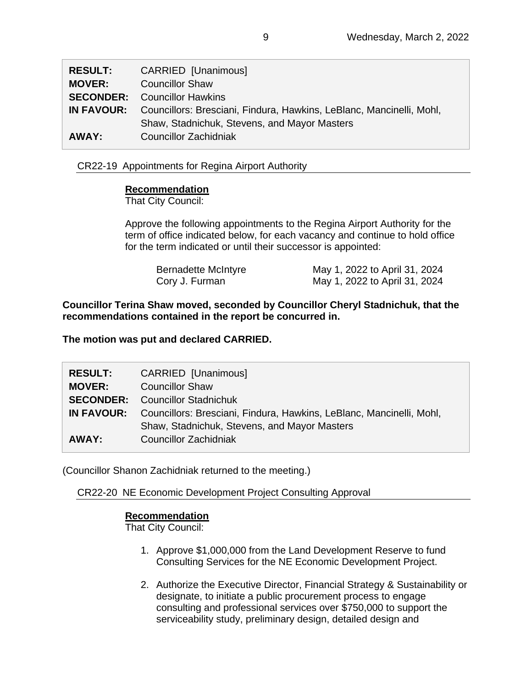| <b>RESULT:</b>    | CARRIED [Unanimous]                                                  |
|-------------------|----------------------------------------------------------------------|
| <b>MOVER:</b>     | <b>Councillor Shaw</b>                                               |
| <b>SECONDER:</b>  | Councillor Hawkins                                                   |
| <b>IN FAVOUR:</b> | Councillors: Bresciani, Findura, Hawkins, LeBlanc, Mancinelli, Mohl, |
|                   | Shaw, Stadnichuk, Stevens, and Mayor Masters                         |
| AWAY:             | Councillor Zachidniak                                                |

# CR22-19 Appointments for Regina Airport Authority

### **Recommendation**

That City Council:

Approve the following appointments to the Regina Airport Authority for the term of office indicated below, for each vacancy and continue to hold office for the term indicated or until their successor is appointed:

| Bernadette McIntyre | May 1, 2022 to April 31, 2024 |
|---------------------|-------------------------------|
| Cory J. Furman      | May 1, 2022 to April 31, 2024 |

**Councillor Terina Shaw moved, seconded by Councillor Cheryl Stadnichuk, that the recommendations contained in the report be concurred in.**

**The motion was put and declared CARRIED.**

| <b>RESULT:</b>    | CARRIED [Unanimous]                                                  |
|-------------------|----------------------------------------------------------------------|
| <b>MOVER:</b>     | <b>Councillor Shaw</b>                                               |
|                   | <b>SECONDER:</b> Councillor Stadnichuk                               |
| <b>IN FAVOUR:</b> | Councillors: Bresciani, Findura, Hawkins, LeBlanc, Mancinelli, Mohl, |
|                   | Shaw, Stadnichuk, Stevens, and Mayor Masters                         |
| AWAY:             | Councillor Zachidniak                                                |

(Councillor Shanon Zachidniak returned to the meeting.)

CR22-20 NE Economic Development Project Consulting Approval

# **Recommendation**

- 1. Approve \$1,000,000 from the Land Development Reserve to fund Consulting Services for the NE Economic Development Project.
- 2. Authorize the Executive Director, Financial Strategy & Sustainability or designate, to initiate a public procurement process to engage consulting and professional services over \$750,000 to support the serviceability study, preliminary design, detailed design and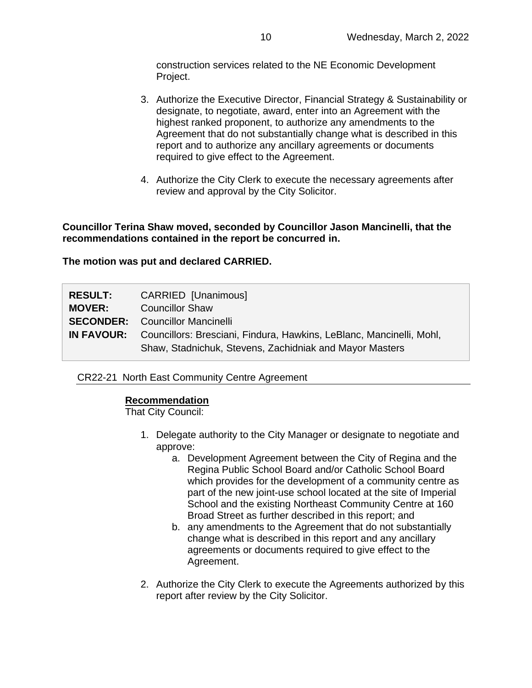construction services related to the NE Economic Development Project.

- 3. Authorize the Executive Director, Financial Strategy & Sustainability or designate, to negotiate, award, enter into an Agreement with the highest ranked proponent, to authorize any amendments to the Agreement that do not substantially change what is described in this report and to authorize any ancillary agreements or documents required to give effect to the Agreement.
- 4. Authorize the City Clerk to execute the necessary agreements after review and approval by the City Solicitor.

**Councillor Terina Shaw moved, seconded by Councillor Jason Mancinelli, that the recommendations contained in the report be concurred in.**

**The motion was put and declared CARRIED.**

| <b>RESULT:</b><br><b>MOVER:</b> | <b>CARRIED [Unanimous]</b><br><b>Councillor Shaw</b>                                                                             |
|---------------------------------|----------------------------------------------------------------------------------------------------------------------------------|
|                                 | <b>SECONDER:</b> Councillor Mancinelli<br><b>IN FAVOUR:</b> Councillors: Bresciani, Findura, Hawkins, LeBlanc, Mancinelli, Mohl, |
|                                 | Shaw, Stadnichuk, Stevens, Zachidniak and Mayor Masters                                                                          |

CR22-21 North East Community Centre Agreement

### **Recommendation**

- 1. Delegate authority to the City Manager or designate to negotiate and approve:
	- a. Development Agreement between the City of Regina and the Regina Public School Board and/or Catholic School Board which provides for the development of a community centre as part of the new joint-use school located at the site of Imperial School and the existing Northeast Community Centre at 160 Broad Street as further described in this report; and
	- b. any amendments to the Agreement that do not substantially change what is described in this report and any ancillary agreements or documents required to give effect to the Agreement.
- 2. Authorize the City Clerk to execute the Agreements authorized by this report after review by the City Solicitor.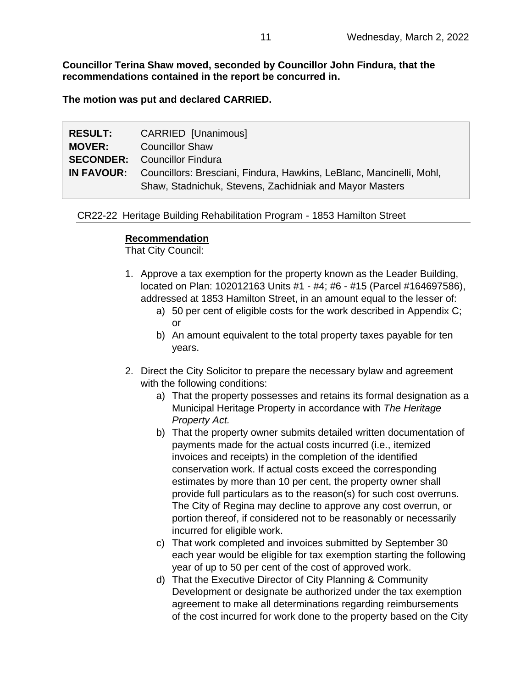**Councillor Terina Shaw moved, seconded by Councillor John Findura, that the recommendations contained in the report be concurred in.**

**The motion was put and declared CARRIED.**

| <b>RESULT:</b> | <b>CARRIED [Unanimous]</b>                                                      |
|----------------|---------------------------------------------------------------------------------|
| <b>MOVER:</b>  | <b>Councillor Shaw</b>                                                          |
|                | <b>SECONDER:</b> Councillor Findura                                             |
|                | IN FAVOUR: Councillors: Bresciani, Findura, Hawkins, LeBlanc, Mancinelli, Mohl, |
|                | Shaw, Stadnichuk, Stevens, Zachidniak and Mayor Masters                         |

CR22-22 Heritage Building Rehabilitation Program - 1853 Hamilton Street

### **Recommendation**

- 1. Approve a tax exemption for the property known as the Leader Building, located on Plan: 102012163 Units #1 - #4; #6 - #15 (Parcel #164697586), addressed at 1853 Hamilton Street, in an amount equal to the lesser of:
	- a) 50 per cent of eligible costs for the work described in Appendix C; or
	- b) An amount equivalent to the total property taxes payable for ten years.
- 2. Direct the City Solicitor to prepare the necessary bylaw and agreement with the following conditions:
	- a) That the property possesses and retains its formal designation as a Municipal Heritage Property in accordance with *The Heritage Property Act.*
	- b) That the property owner submits detailed written documentation of payments made for the actual costs incurred (i.e., itemized invoices and receipts) in the completion of the identified conservation work. If actual costs exceed the corresponding estimates by more than 10 per cent, the property owner shall provide full particulars as to the reason(s) for such cost overruns. The City of Regina may decline to approve any cost overrun, or portion thereof, if considered not to be reasonably or necessarily incurred for eligible work.
	- c) That work completed and invoices submitted by September 30 each year would be eligible for tax exemption starting the following year of up to 50 per cent of the cost of approved work.
	- d) That the Executive Director of City Planning & Community Development or designate be authorized under the tax exemption agreement to make all determinations regarding reimbursements of the cost incurred for work done to the property based on the City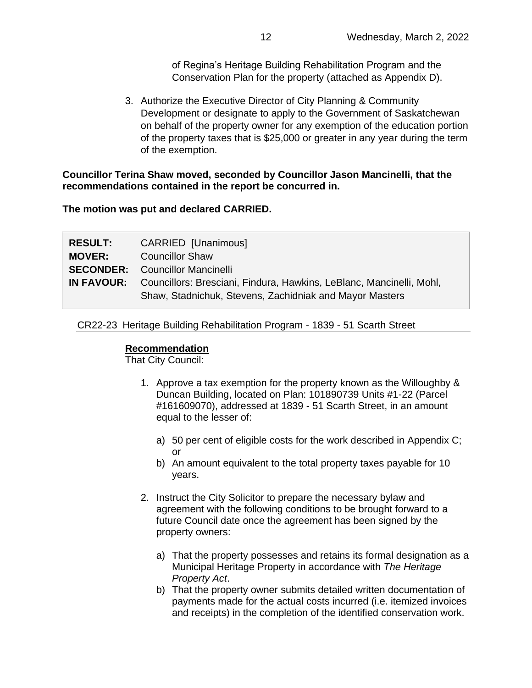of Regina's Heritage Building Rehabilitation Program and the Conservation Plan for the property (attached as Appendix D).

3. Authorize the Executive Director of City Planning & Community Development or designate to apply to the Government of Saskatchewan on behalf of the property owner for any exemption of the education portion of the property taxes that is \$25,000 or greater in any year during the term of the exemption.

**Councillor Terina Shaw moved, seconded by Councillor Jason Mancinelli, that the recommendations contained in the report be concurred in.**

**The motion was put and declared CARRIED.**

| <b>RESULT:</b> | CARRIED [Unanimous]                                                                                                                               |
|----------------|---------------------------------------------------------------------------------------------------------------------------------------------------|
| <b>MOVER:</b>  | <b>Councillor Shaw</b>                                                                                                                            |
|                | <b>SECONDER:</b> Councillor Mancinelli                                                                                                            |
|                | <b>IN FAVOUR:</b> Councillors: Bresciani, Findura, Hawkins, LeBlanc, Mancinelli, Mohl,<br>Shaw, Stadnichuk, Stevens, Zachidniak and Mayor Masters |

CR22-23 Heritage Building Rehabilitation Program - 1839 - 51 Scarth Street

### **Recommendation**

- 1. Approve a tax exemption for the property known as the Willoughby & Duncan Building, located on Plan: 101890739 Units #1-22 (Parcel #161609070), addressed at 1839 - 51 Scarth Street, in an amount equal to the lesser of:
	- a) 50 per cent of eligible costs for the work described in Appendix C; or
	- b) An amount equivalent to the total property taxes payable for 10 years.
- 2. Instruct the City Solicitor to prepare the necessary bylaw and agreement with the following conditions to be brought forward to a future Council date once the agreement has been signed by the property owners:
	- a) That the property possesses and retains its formal designation as a Municipal Heritage Property in accordance with *The Heritage Property Act*.
	- b) That the property owner submits detailed written documentation of payments made for the actual costs incurred (i.e. itemized invoices and receipts) in the completion of the identified conservation work.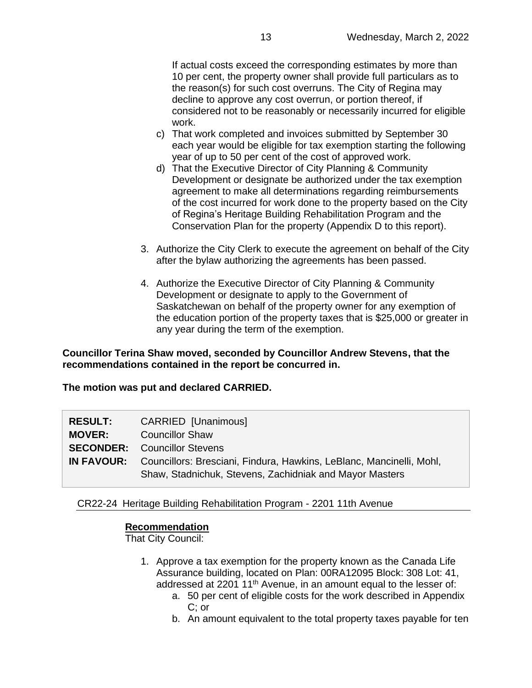If actual costs exceed the corresponding estimates by more than 10 per cent, the property owner shall provide full particulars as to the reason(s) for such cost overruns. The City of Regina may decline to approve any cost overrun, or portion thereof, if considered not to be reasonably or necessarily incurred for eligible work.

- c) That work completed and invoices submitted by September 30 each year would be eligible for tax exemption starting the following year of up to 50 per cent of the cost of approved work.
- d) That the Executive Director of City Planning & Community Development or designate be authorized under the tax exemption agreement to make all determinations regarding reimbursements of the cost incurred for work done to the property based on the City of Regina's Heritage Building Rehabilitation Program and the Conservation Plan for the property (Appendix D to this report).
- 3. Authorize the City Clerk to execute the agreement on behalf of the City after the bylaw authorizing the agreements has been passed.
- 4. Authorize the Executive Director of City Planning & Community Development or designate to apply to the Government of Saskatchewan on behalf of the property owner for any exemption of the education portion of the property taxes that is \$25,000 or greater in any year during the term of the exemption.

**Councillor Terina Shaw moved, seconded by Councillor Andrew Stevens, that the recommendations contained in the report be concurred in.**

### **The motion was put and declared CARRIED.**

| <b>RESULT:</b><br><b>MOVER:</b> | <b>CARRIED [Unanimous]</b><br><b>Councillor Shaw</b>                                                                          |
|---------------------------------|-------------------------------------------------------------------------------------------------------------------------------|
|                                 | <b>SECONDER:</b> Councillor Stevens<br><b>IN FAVOUR:</b> Councillors: Bresciani, Findura, Hawkins, LeBlanc, Mancinelli, Mohl, |
|                                 | Shaw, Stadnichuk, Stevens, Zachidniak and Mayor Masters                                                                       |

CR22-24 Heritage Building Rehabilitation Program - 2201 11th Avenue

### **Recommendation**

- 1. Approve a tax exemption for the property known as the Canada Life Assurance building, located on Plan: 00RA12095 Block: 308 Lot: 41, addressed at 2201 11<sup>th</sup> Avenue, in an amount equal to the lesser of:
	- a. 50 per cent of eligible costs for the work described in Appendix C; or
	- b. An amount equivalent to the total property taxes payable for ten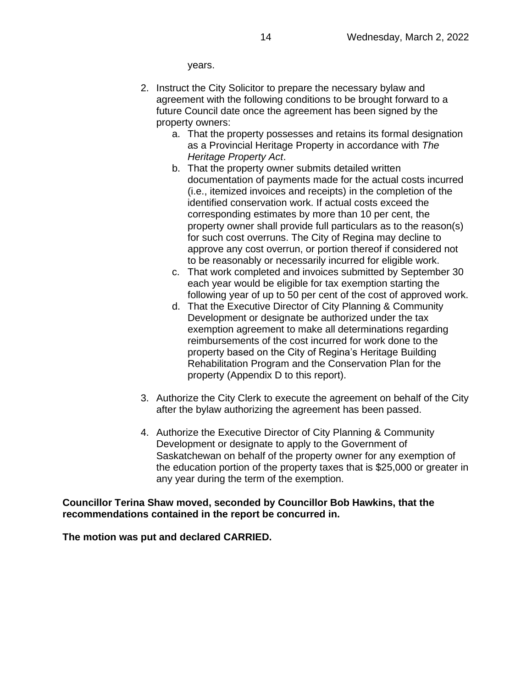years.

- 2. Instruct the City Solicitor to prepare the necessary bylaw and agreement with the following conditions to be brought forward to a future Council date once the agreement has been signed by the property owners:
	- a. That the property possesses and retains its formal designation as a Provincial Heritage Property in accordance with *The Heritage Property Act*.
	- b. That the property owner submits detailed written documentation of payments made for the actual costs incurred (i.e., itemized invoices and receipts) in the completion of the identified conservation work. If actual costs exceed the corresponding estimates by more than 10 per cent, the property owner shall provide full particulars as to the reason(s) for such cost overruns. The City of Regina may decline to approve any cost overrun, or portion thereof if considered not to be reasonably or necessarily incurred for eligible work.
	- c. That work completed and invoices submitted by September 30 each year would be eligible for tax exemption starting the following year of up to 50 per cent of the cost of approved work.
	- d. That the Executive Director of City Planning & Community Development or designate be authorized under the tax exemption agreement to make all determinations regarding reimbursements of the cost incurred for work done to the property based on the City of Regina's Heritage Building Rehabilitation Program and the Conservation Plan for the property (Appendix D to this report).
- 3. Authorize the City Clerk to execute the agreement on behalf of the City after the bylaw authorizing the agreement has been passed.
- 4. Authorize the Executive Director of City Planning & Community Development or designate to apply to the Government of Saskatchewan on behalf of the property owner for any exemption of the education portion of the property taxes that is \$25,000 or greater in any year during the term of the exemption.

### **Councillor Terina Shaw moved, seconded by Councillor Bob Hawkins, that the recommendations contained in the report be concurred in.**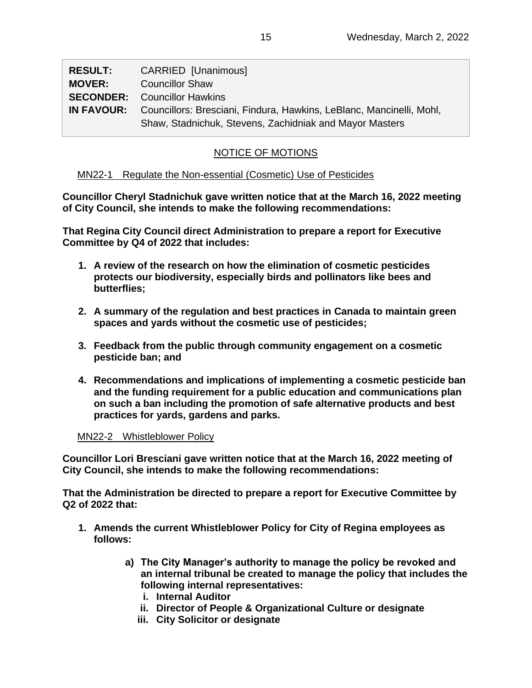| <b>RESULT:</b> | CARRIED [Unanimous]                                                                    |
|----------------|----------------------------------------------------------------------------------------|
| <b>MOVER:</b>  | <b>Councillor Shaw</b>                                                                 |
|                | <b>SECONDER:</b> Councillor Hawkins                                                    |
|                | <b>IN FAVOUR:</b> Councillors: Bresciani, Findura, Hawkins, LeBlanc, Mancinelli, Mohl, |
|                | Shaw, Stadnichuk, Stevens, Zachidniak and Mayor Masters                                |

# NOTICE OF MOTIONS

# MN22-1 Regulate the Non-essential (Cosmetic) Use of Pesticides

**Councillor Cheryl Stadnichuk gave written notice that at the March 16, 2022 meeting of City Council, she intends to make the following recommendations:**

**That Regina City Council direct Administration to prepare a report for Executive Committee by Q4 of 2022 that includes:**

- **1. A review of the research on how the elimination of cosmetic pesticides protects our biodiversity, especially birds and pollinators like bees and butterflies;**
- **2. A summary of the regulation and best practices in Canada to maintain green spaces and yards without the cosmetic use of pesticides;**
- **3. Feedback from the public through community engagement on a cosmetic pesticide ban; and**
- **4. Recommendations and implications of implementing a cosmetic pesticide ban and the funding requirement for a public education and communications plan on such a ban including the promotion of safe alternative products and best practices for yards, gardens and parks.**

# MN22-2 Whistleblower Policy

**Councillor Lori Bresciani gave written notice that at the March 16, 2022 meeting of City Council, she intends to make the following recommendations:**

**That the Administration be directed to prepare a report for Executive Committee by Q2 of 2022 that:**

- **1. Amends the current Whistleblower Policy for City of Regina employees as follows:**
	- **a) The City Manager's authority to manage the policy be revoked and an internal tribunal be created to manage the policy that includes the following internal representatives:**
		- **i. Internal Auditor**
		- **ii. Director of People & Organizational Culture or designate**
		- **iii. City Solicitor or designate**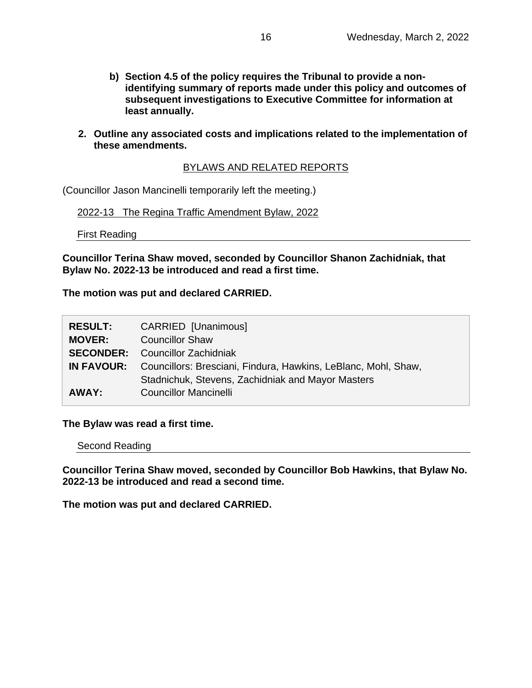- **b) Section 4.5 of the policy requires the Tribunal to provide a nonidentifying summary of reports made under this policy and outcomes of subsequent investigations to Executive Committee for information at least annually.**
- **2. Outline any associated costs and implications related to the implementation of these amendments.**

# BYLAWS AND RELATED REPORTS

(Councillor Jason Mancinelli temporarily left the meeting.)

2022-13 The Regina Traffic Amendment Bylaw, 2022

First Reading

**Councillor Terina Shaw moved, seconded by Councillor Shanon Zachidniak, that Bylaw No. 2022-13 be introduced and read a first time.** 

**The motion was put and declared CARRIED.**

| <b>RESULT:</b>   | CARRIED [Unanimous]                                            |
|------------------|----------------------------------------------------------------|
| <b>MOVER:</b>    | <b>Councillor Shaw</b>                                         |
| <b>SECONDER:</b> | Councillor Zachidniak                                          |
| IN FAVOUR:       | Councillors: Bresciani, Findura, Hawkins, LeBlanc, Mohl, Shaw, |
|                  | Stadnichuk, Stevens, Zachidniak and Mayor Masters              |
| AWAY:            | <b>Councillor Mancinelli</b>                                   |

**The Bylaw was read a first time.**

Second Reading

**Councillor Terina Shaw moved, seconded by Councillor Bob Hawkins, that Bylaw No. 2022-13 be introduced and read a second time.**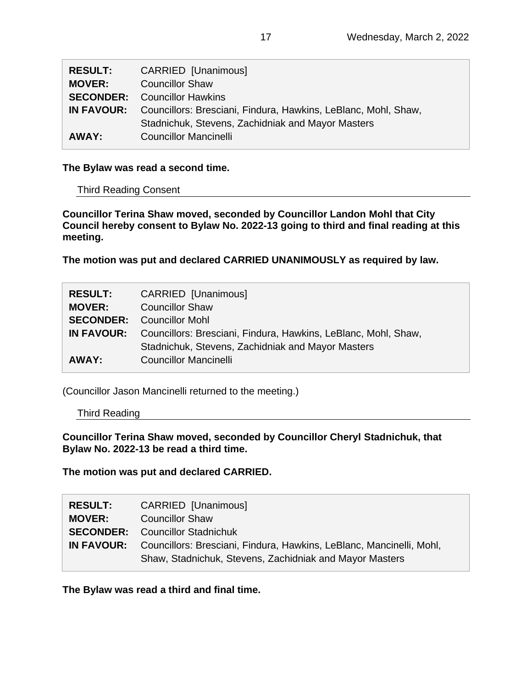| <b>RESULT:</b> | <b>CARRIED [Unanimous]</b>                                     |
|----------------|----------------------------------------------------------------|
| <b>MOVER:</b>  | <b>Councillor Shaw</b>                                         |
|                | <b>SECONDER:</b> Councillor Hawkins                            |
| IN FAVOUR:     | Councillors: Bresciani, Findura, Hawkins, LeBlanc, Mohl, Shaw, |
|                | Stadnichuk, Stevens, Zachidniak and Mayor Masters              |
| AWAY:          | <b>Councillor Mancinelli</b>                                   |

### **The Bylaw was read a second time.**

### Third Reading Consent

**Councillor Terina Shaw moved, seconded by Councillor Landon Mohl that City Council hereby consent to Bylaw No. 2022-13 going to third and final reading at this meeting.**

**The motion was put and declared CARRIED UNANIMOUSLY as required by law.**

| <b>RESULT:</b>   | CARRIED [Unanimous]                                                              |
|------------------|----------------------------------------------------------------------------------|
| <b>MOVER:</b>    | <b>Councillor Shaw</b>                                                           |
| <b>SECONDER:</b> | Councillor Mohl                                                                  |
|                  | <b>IN FAVOUR:</b> Councillors: Bresciani, Findura, Hawkins, LeBlanc, Mohl, Shaw, |
|                  | Stadnichuk, Stevens, Zachidniak and Mayor Masters                                |
| AWAY:            | <b>Councillor Mancinelli</b>                                                     |

(Councillor Jason Mancinelli returned to the meeting.)

Third Reading

**Councillor Terina Shaw moved, seconded by Councillor Cheryl Stadnichuk, that Bylaw No. 2022-13 be read a third time.**

**The motion was put and declared CARRIED.**

| <b>RESULT:</b> | <b>CARRIED [Unanimous]</b>                                                                                                      |
|----------------|---------------------------------------------------------------------------------------------------------------------------------|
| <b>MOVER:</b>  | <b>Councillor Shaw</b>                                                                                                          |
|                | <b>SECONDER:</b> Councillor Stadnichuk                                                                                          |
| IN FAVOUR:     | Councillors: Bresciani, Findura, Hawkins, LeBlanc, Mancinelli, Mohl,<br>Shaw, Stadnichuk, Stevens, Zachidniak and Mayor Masters |

**The Bylaw was read a third and final time.**